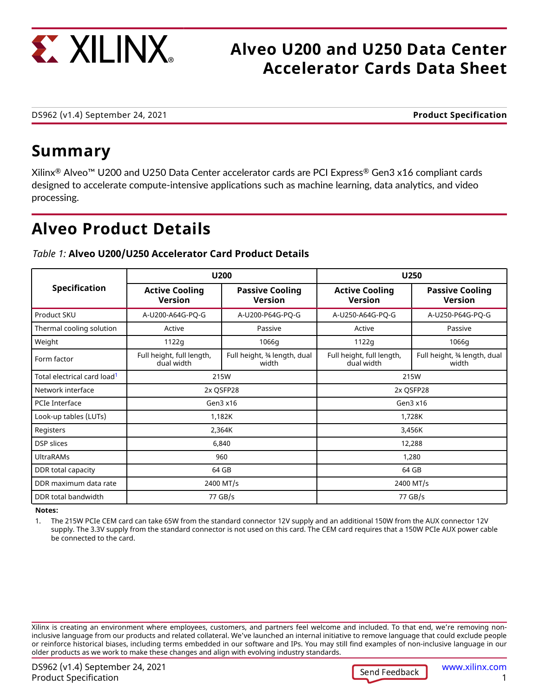<span id="page-0-0"></span>

# **Alveo U200 and U250 Data Center Accelerator Cards Data Sheet**

DS962 (v1.4) September 24, 2021 **Product Specification**

# **Summary**

Xilinx® Alveo™ U200 and U250 Data Center accelerator cards are PCI Express® Gen3 x16 compliant cards designed to accelerate compute-intensive applications such as machine learning, data analytics, and video processing.

# **Alveo Product Details**

#### **Specification U200 U250 Active Cooling Version Passive Cooling Version Active Cooling Version Passive Cooling Version** Product SKU A-U200-A64G-PQ-G A-U200-P64G-PQ-G A-U250-A64G-PQ-G A-U250-P64G-PQ-G Thermal cooling solution | Active | Passive | Active | Passive Weight 1122g 1066g 1122g 1066g Full height, full length, dual width Full height, ¾ length, dual width Full height, full length, dual width Full height, ¾ length, dual width Total electrical card load<sup>1</sup> 215W 215W Network interface and the contract of the contract 2x QSFP28 2x QSFP28 2x QSFP28 2x QSFP28 2x QSFP28 PCIe Interface Gen3 x16 Gen3 x16 Look-up tables (LUTs) and the contract of the contract of the 1,182K 1,728K 1,728K Registers 2,364K 3,456K DSP slices 6,840 12,288 UltraRAMs 960 1,280 DDR total capacity **but a capacity** 64 GB 64 GB 64 GB 64 GB 64 GB 64 GB 64 GB 64 GB 64 GB 64 GB 64 GB 64 GB 64 GB DDR maximum data rate  $\begin{array}{|c|c|c|c|c|}\n\hline\n\end{array}$  2400 MT/s 2400 MT/s 2400 MT/s DDR total bandwidth 77 GB/s 77 GB/s

### *Table 1:* **Alveo U200/U250 Accelerator Card Product Details**

**Notes:**

1. The 215W PCIe CEM card can take 65W from the standard connector 12V supply and an additional 150W from the AUX connector 12V supply. The 3.3V supply from the standard connector is not used on this card. The CEM card requires that a 150W PCIe AUX power cable be connected to the card.

Xilinx is creating an environment where employees, customers, and partners feel welcome and included. To that end, we're removing noninclusive language from our products and related collateral. We've launched an internal initiative to remove language that could exclude people or reinforce historical biases, including terms embedded in our software and IPs. You may still find examples of non-inclusive language in our older products as we work to make these changes and align with evolving industry standards.

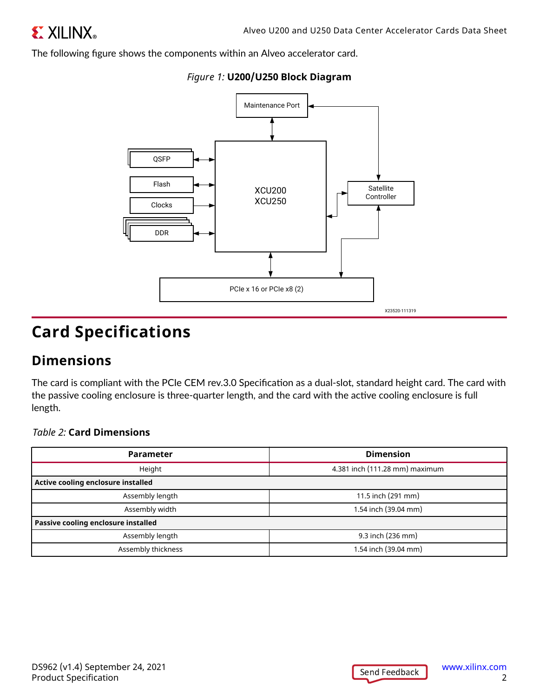<span id="page-1-0"></span>The following figure shows the components within an Alveo accelerator card.





# **Card Specifications**

## **Dimensions**

The card is compliant with the PCIe CEM rev.3.0 Specification as a dual-slot, standard height card. The card with the passive cooling enclosure is three-quarter length, and the card with the active cooling enclosure is full length.

### *Table 2:* **Card Dimensions**

| <b>Parameter</b>                    | <b>Dimension</b>               |
|-------------------------------------|--------------------------------|
| Height                              | 4.381 inch (111.28 mm) maximum |
| Active cooling enclosure installed  |                                |
| Assembly length                     | 11.5 inch (291 mm)             |
| Assembly width                      | 1.54 inch (39.04 mm)           |
| Passive cooling enclosure installed |                                |
| Assembly length                     | 9.3 inch (236 mm)              |
| Assembly thickness                  | 1.54 inch (39.04 mm)           |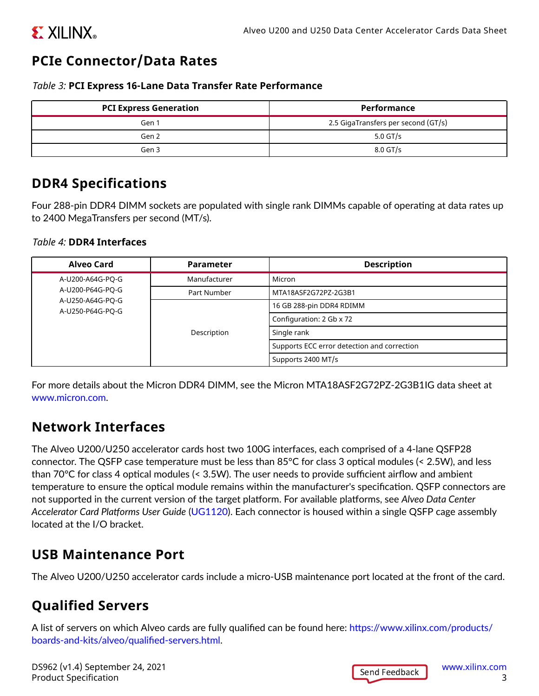# <span id="page-2-0"></span>**EXILINX**

# **PCIe Connector/Data Rates**

### *Table 3:* **PCI Express 16-Lane Data Transfer Rate Performance**

| <b>PCI Express Generation</b> | <b>Performance</b>                  |
|-------------------------------|-------------------------------------|
| Gen 1                         | 2.5 GigaTransfers per second (GT/s) |
| Gen 2                         | $5.0$ GT/s                          |
| Gen 3                         | $8.0$ GT/s                          |

## **DDR4 Specifications**

Four 288-pin DDR4 DIMM sockets are populated with single rank DIMMs capable of operating at data rates up to 2400 MegaTransfers per second (MT/s).

### *Table 4:* **DDR4 Interfaces**

| Alveo Card                           | <b>Parameter</b> | <b>Description</b>                          |
|--------------------------------------|------------------|---------------------------------------------|
| A-U200-A64G-PO-G                     | Manufacturer     | l Micron                                    |
| A-U200-P64G-PO-G                     | Part Number      | MTA18ASF2G72PZ-2G3B1                        |
| A-U250-A64G-PO-G<br>A-U250-P64G-PO-G | Description      | 16 GB 288-pin DDR4 RDIMM                    |
|                                      |                  | Configuration: 2 Gb x 72                    |
|                                      |                  | Single rank                                 |
|                                      |                  | Supports ECC error detection and correction |
|                                      |                  | Supports 2400 MT/s                          |

For more details about the Micron DDR4 DIMM, see the Micron MTA18ASF2G72PZ-2G3B1IG data sheet at [www.micron.com](https://www.micron.com).

## **Network Interfaces**

The Alveo U200/U250 accelerator cards host two 100G interfaces, each comprised of a 4-lane QSFP28 connector. The QSFP case temperature must be less than 85°C for class 3 optical modules (< 2.5W), and less than 70°C for class 4 optical modules (< 3.5W). The user needs to provide sufficient airflow and ambient temperature to ensure the optical module remains within the manufacturer's specification. QSFP connectors are not supported in the current version of the target platform. For available platforms, see *Alveo Data Center Accelerator Card Platforms User Guide* [\(UG1120\)](https://www.xilinx.com/cgi-bin/docs/bkdoc?k=accelerator-cards;d=ug1120-alveo-platforms.pdf). Each connector is housed within a single QSFP cage assembly located at the I/O bracket.

## **USB Maintenance Port**

The Alveo U200/U250 accelerator cards include a micro-USB maintenance port located at the front of the card.

# **Qualified Servers**

A list of servers on which Alveo cards are fully qualified can be found here: [https://www.xilinx.com/products/](https://www.xilinx.com/products/boards-and-kits/alveo/qualified-servers.html) [boards-and-kits/alveo/qualified-servers.html](https://www.xilinx.com/products/boards-and-kits/alveo/qualified-servers.html).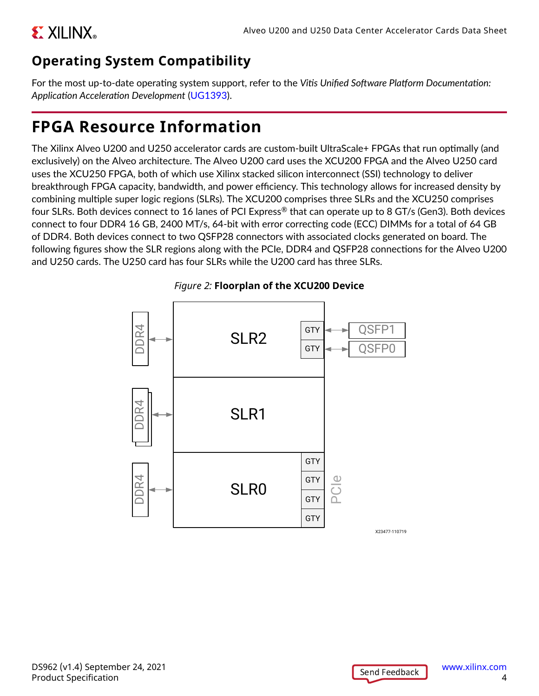# <span id="page-3-0"></span>**Operating System Compatibility**

For the most up-to-date operating system support, refer to the *Vitis Unified Software Platform Documentation: Application Acceleration Development* [\(UG1393](https://www.xilinx.com/cgi-bin/docs/rdoc?v=latest;d=ug1393-vitis-application-acceleration.pdf)).

# **FPGA Resource Information**

The Xilinx Alveo U200 and U250 accelerator cards are custom-built UltraScale+ FPGAs that run optimally (and exclusively) on the Alveo architecture. The Alveo U200 card uses the XCU200 FPGA and the Alveo U250 card uses the XCU250 FPGA, both of which use Xilinx stacked silicon interconnect (SSI) technology to deliver breakthrough FPGA capacity, bandwidth, and power efficiency. This technology allows for increased density by combining multiple super logic regions (SLRs). The XCU200 comprises three SLRs and the XCU250 comprises four SLRs. Both devices connect to 16 lanes of PCI Express® that can operate up to 8 GT/s (Gen3). Both devices connect to four DDR4 16 GB, 2400 MT/s, 64-bit with error correcting code (ECC) DIMMs for a total of 64 GB of DDR4. Both devices connect to two QSFP28 connectors with associated clocks generated on board. The following figures show the SLR regions along with the PCIe, DDR4 and QSFP28 connections for the Alveo U200 and U250 cards. The U250 card has four SLRs while the U200 card has three SLRs.



### *Figure 2:* **Floorplan of the XCU200 Device**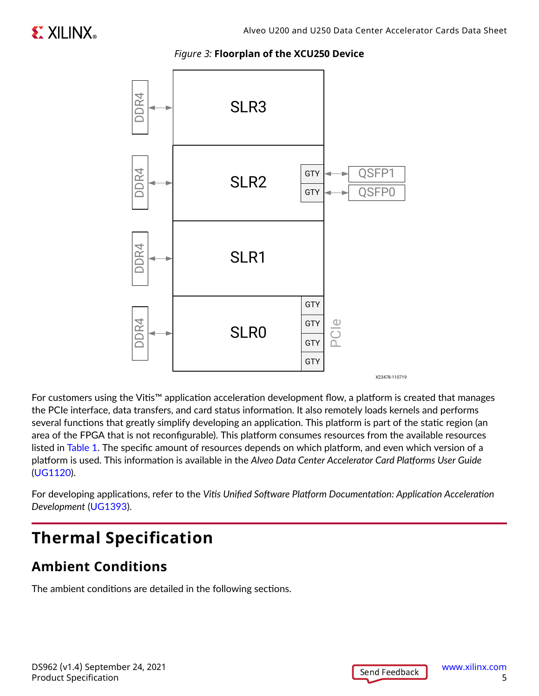#### *Figure 3:* **Floorplan of the XCU250 Device**



For customers using the Vitis™ application acceleration development flow, a platform is created that manages the PCIe interface, data transfers, and card status information. It also remotely loads kernels and performs several functions that greatly simplify developing an application. This platform is part of the static region (an area of the FPGA that is not reconfigurable). This platform consumes resources from the available resources listed in [Table 1.](#page-0-0) The specific amount of resources depends on which platform, and even which version of a platform is used. This information is available in the *Alveo Data Center Accelerator Card Platforms User Guide* ([UG1120\)](https://www.xilinx.com/cgi-bin/docs/bkdoc?k=accelerator-cards;d=ug1120-alveo-platforms.pdf).

For developing applications, refer to the *Vitis Unified Software Platform Documentation: Application Acceleration Development* ([UG1393](https://www.xilinx.com/cgi-bin/docs/rdoc?v=latest;d=ug1393-vitis-application-acceleration.pdf)).

# **Thermal Specification**

## **Ambient Conditions**

The ambient conditions are detailed in the following sections.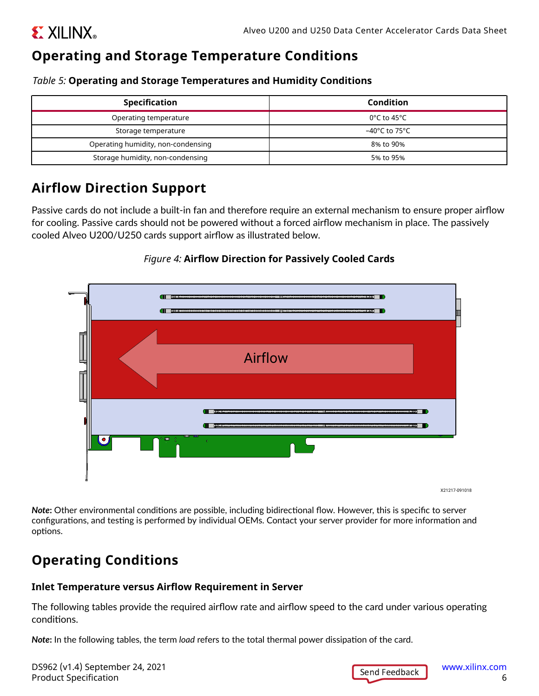# <span id="page-5-0"></span>**Operating and Storage Temperature Conditions**

*Table 5:* **Operating and Storage Temperatures and Humidity Conditions**

| <b>Specification</b>               | <b>Condition</b>                 |
|------------------------------------|----------------------------------|
| Operating temperature              | $0^{\circ}$ C to 45 $^{\circ}$ C |
| Storage temperature                | –40°C to 75°C                    |
| Operating humidity, non-condensing | 8% to 90%                        |
| Storage humidity, non-condensing   | 5% to 95%                        |

## **Airflow Direction Support**

Passive cards do not include a built-in fan and therefore require an external mechanism to ensure proper airflow for cooling. Passive cards should not be powered without a forced airflow mechanism in place. The passively cooled Alveo U200/U250 cards support airflow as illustrated below.

### *Figure 4:* **Airflow Direction for Passively Cooled Cards**



*Note***:** Other environmental conditions are possible, including bidirectional flow. However, this is specific to server configurations, and testing is performed by individual OEMs. Contact your server provider for more information and options.

# **Operating Conditions**

### **Inlet Temperature versus Airflow Requirement in Server**

The following tables provide the required airflow rate and airflow speed to the card under various operating conditions.

*Note***:** In the following tables, the term *load* refers to the total thermal power dissipation of the card.

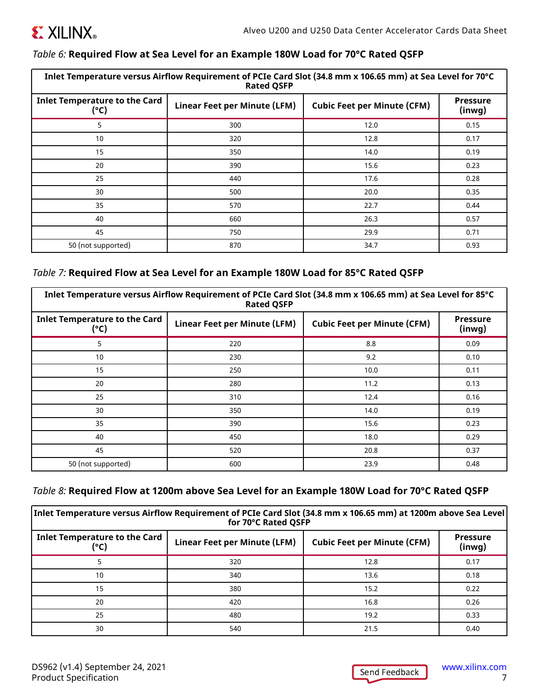

#### *Table 6:* **Required Flow at Sea Level for an Example 180W Load for 70°C Rated QSFP**

| Inlet Temperature versus Airflow Requirement of PCIe Card Slot (34.8 mm x 106.65 mm) at Sea Level for 70°C<br><b>Rated QSFP</b> |                              |                                    |                          |
|---------------------------------------------------------------------------------------------------------------------------------|------------------------------|------------------------------------|--------------------------|
| <b>Inlet Temperature to the Card</b><br>(°C)                                                                                    | Linear Feet per Minute (LFM) | <b>Cubic Feet per Minute (CFM)</b> | <b>Pressure</b><br>(nwg) |
| 5                                                                                                                               | 300                          | 12.0                               | 0.15                     |
| 10                                                                                                                              | 320                          | 12.8                               | 0.17                     |
| 15                                                                                                                              | 350                          | 14.0                               | 0.19                     |
| 20                                                                                                                              | 390                          | 15.6                               | 0.23                     |
| 25                                                                                                                              | 440                          | 17.6                               | 0.28                     |
| 30                                                                                                                              | 500                          | 20.0                               | 0.35                     |
| 35                                                                                                                              | 570                          | 22.7                               | 0.44                     |
| 40                                                                                                                              | 660                          | 26.3                               | 0.57                     |
| 45                                                                                                                              | 750                          | 29.9                               | 0.71                     |
| 50 (not supported)                                                                                                              | 870                          | 34.7                               | 0.93                     |

#### *Table 7:* **Required Flow at Sea Level for an Example 180W Load for 85°C Rated QSFP**

| Inlet Temperature versus Airflow Requirement of PCIe Card Slot (34.8 mm x 106.65 mm) at Sea Level for 85°C<br><b>Rated QSFP</b> |                              |                                    |                           |
|---------------------------------------------------------------------------------------------------------------------------------|------------------------------|------------------------------------|---------------------------|
| <b>Inlet Temperature to the Card</b><br>(°C)                                                                                    | Linear Feet per Minute (LFM) | <b>Cubic Feet per Minute (CFM)</b> | <b>Pressure</b><br>(inwg) |
| 5                                                                                                                               | 220                          | 8.8                                | 0.09                      |
| 10                                                                                                                              | 230                          | 9.2                                | 0.10                      |
| 15                                                                                                                              | 250                          | 10.0                               | 0.11                      |
| 20                                                                                                                              | 280                          | 11.2                               | 0.13                      |
| 25                                                                                                                              | 310                          | 12.4                               | 0.16                      |
| 30                                                                                                                              | 350                          | 14.0                               | 0.19                      |
| 35                                                                                                                              | 390                          | 15.6                               | 0.23                      |
| 40                                                                                                                              | 450                          | 18.0                               | 0.29                      |
| 45                                                                                                                              | 520                          | 20.8                               | 0.37                      |
| 50 (not supported)                                                                                                              | 600                          | 23.9                               | 0.48                      |

### *Table 8:* **Required Flow at 1200m above Sea Level for an Example 180W Load for 70°C Rated QSFP**

| $ $ Inlet Temperature versus Airflow Requirement of PCIe Card Slot (34.8 mm x 106.65 mm) at 1200m above Sea Level $ \,$<br>for 70°C Rated QSFP |                              |                                    |                                 |
|------------------------------------------------------------------------------------------------------------------------------------------------|------------------------------|------------------------------------|---------------------------------|
| <b>Inlet Temperature to the Card</b><br>(°C)                                                                                                   | Linear Feet per Minute (LFM) | <b>Cubic Feet per Minute (CFM)</b> | <b>Pressure</b><br>$($ inwg $)$ |
|                                                                                                                                                | 320                          | 12.8                               | 0.17                            |
| 10                                                                                                                                             | 340                          | 13.6                               | 0.18                            |
| 15                                                                                                                                             | 380                          | 15.2                               | 0.22                            |
| 20                                                                                                                                             | 420                          | 16.8                               | 0.26                            |
| 25                                                                                                                                             | 480                          | 19.2                               | 0.33                            |
| 30                                                                                                                                             | 540                          | 21.5                               | 0.40                            |

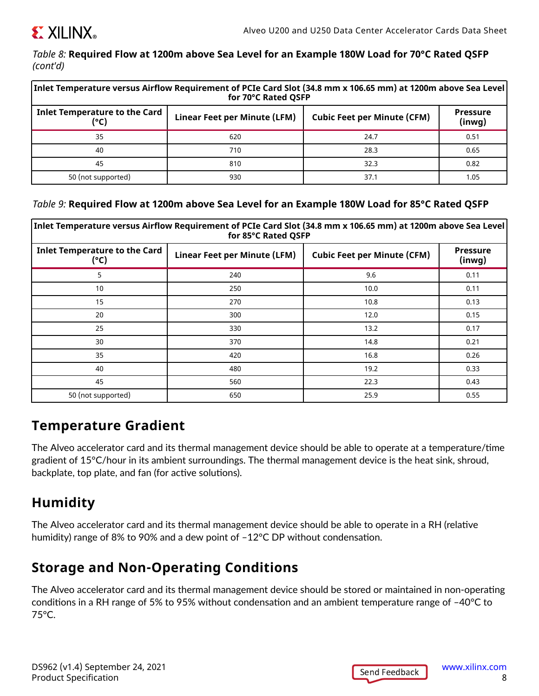<span id="page-7-0"></span>

#### *Table 8:* **Required Flow at 1200m above Sea Level for an Example 180W Load for 70°C Rated QSFP** *(cont'd)*

| $ $ Inlet Temperature versus Airflow Requirement of PCIe Card Slot (34.8 mm x 106.65 mm) at 1200m above Sea Level $ \,$<br>for 70°C Rated QSFP |                              |                                    |                           |
|------------------------------------------------------------------------------------------------------------------------------------------------|------------------------------|------------------------------------|---------------------------|
| <b>Inlet Temperature to the Card</b><br>(°C)                                                                                                   | Linear Feet per Minute (LFM) | <b>Cubic Feet per Minute (CFM)</b> | <b>Pressure</b><br>(inwg) |
| 35                                                                                                                                             | 620                          | 24.7                               | 0.51                      |
| 40                                                                                                                                             | 710                          | 28.3                               | 0.65                      |
| 45                                                                                                                                             | 810                          | 32.3                               | 0.82                      |
| 50 (not supported)                                                                                                                             | 930                          | 37.1                               | 1.05                      |

#### *Table 9:* **Required Flow at 1200m above Sea Level for an Example 180W Load for 85°C Rated QSFP**

| Inlet Temperature versus Airflow Requirement of PCIe Card Slot (34.8 mm x 106.65 mm) at 1200m above Sea Level<br>for 85°C Rated QSFP |                              |                                    |                           |
|--------------------------------------------------------------------------------------------------------------------------------------|------------------------------|------------------------------------|---------------------------|
| <b>Inlet Temperature to the Card</b><br>(°C)                                                                                         | Linear Feet per Minute (LFM) | <b>Cubic Feet per Minute (CFM)</b> | <b>Pressure</b><br>(inwg) |
| 5                                                                                                                                    | 240                          | 9.6                                | 0.11                      |
| 10                                                                                                                                   | 250                          | 10.0                               | 0.11                      |
| 15                                                                                                                                   | 270                          | 10.8                               | 0.13                      |
| 20                                                                                                                                   | 300                          | 12.0                               | 0.15                      |
| 25                                                                                                                                   | 330                          | 13.2                               | 0.17                      |
| 30                                                                                                                                   | 370                          | 14.8                               | 0.21                      |
| 35                                                                                                                                   | 420                          | 16.8                               | 0.26                      |
| 40                                                                                                                                   | 480                          | 19.2                               | 0.33                      |
| 45                                                                                                                                   | 560                          | 22.3                               | 0.43                      |
| 50 (not supported)                                                                                                                   | 650                          | 25.9                               | 0.55                      |

## **Temperature Gradient**

The Alveo accelerator card and its thermal management device should be able to operate at a temperature/time gradient of 15°C/hour in its ambient surroundings. The thermal management device is the heat sink, shroud, backplate, top plate, and fan (for active solutions).

## **Humidity**

The Alveo accelerator card and its thermal management device should be able to operate in a RH (relative humidity) range of 8% to 90% and a dew point of –12°C DP without condensation.

## **Storage and Non-Operating Conditions**

The Alveo accelerator card and its thermal management device should be stored or maintained in non-operating conditions in a RH range of 5% to 95% without condensation and an ambient temperature range of –40°C to 75°C.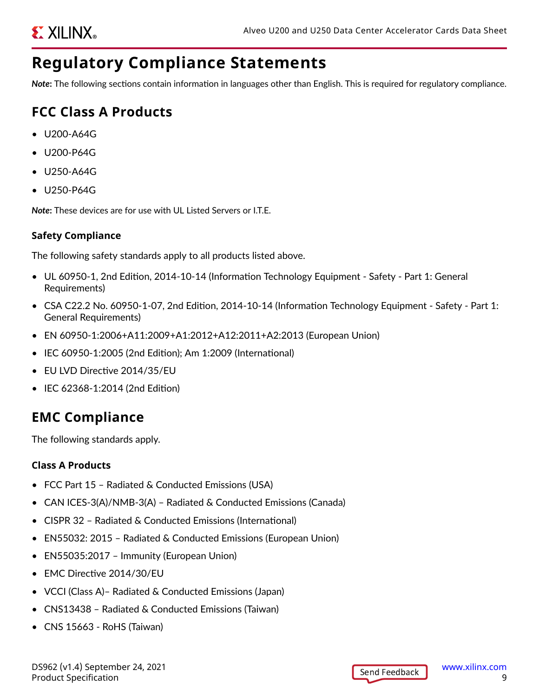# **Regulatory Compliance Statements**

*Note***:** The following sections contain information in languages other than English. This is required for regulatory compliance.

# **FCC Class A Products**

- U200-A64G
- U200-P64G
- U250-A64G
- U250-P64G

*Note***:** These devices are for use with UL Listed Servers or I.T.E.

### **Safety Compliance**

The following safety standards apply to all products listed above.

- UL 60950-1, 2nd Edition, 2014-10-14 (Information Technology Equipment Safety Part 1: General Requirements)
- CSA C22.2 No. 60950-1-07, 2nd Edition, 2014-10-14 (Information Technology Equipment Safety Part 1: General Requirements)
- EN 60950-1:2006+A11:2009+A1:2012+A12:2011+A2:2013 (European Union)
- IEC 60950-1:2005 (2nd Edition); Am 1:2009 (International)
- EU LVD Directive 2014/35/EU
- IEC 62368-1:2014 (2nd Edition)

# **EMC Compliance**

The following standards apply.

### **Class A Products**

- FCC Part 15 Radiated & Conducted Emissions (USA)
- CAN ICES-3(A)/NMB-3(A) Radiated & Conducted Emissions (Canada)
- CISPR 32 Radiated & Conducted Emissions (International)
- EN55032: 2015 Radiated & Conducted Emissions (European Union)
- EN55035:2017 Immunity (European Union)
- EMC Directive 2014/30/EU
- VCCI (Class A)– Radiated & Conducted Emissions (Japan)
- CNS13438 Radiated & Conducted Emissions (Taiwan)
- CNS 15663 RoHS (Taiwan)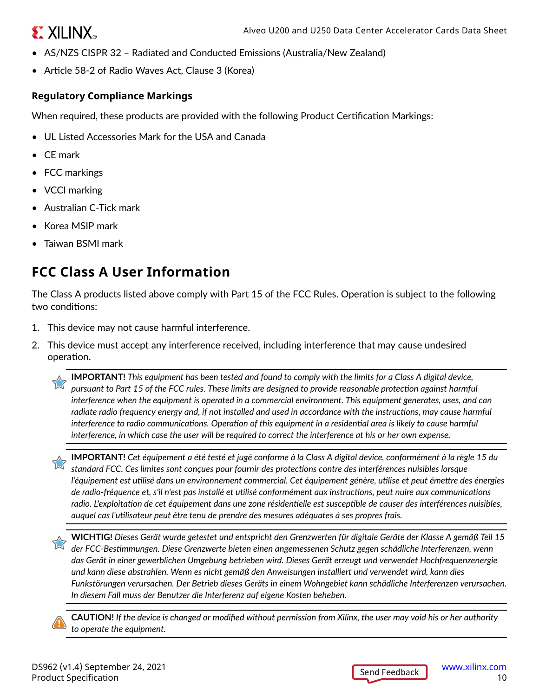# **EXILINX**

- AS/NZS CISPR 32 Radiated and Conducted Emissions (Australia/New Zealand)
- Article 58-2 of Radio Waves Act, Clause 3 (Korea)

### **Regulatory Compliance Markings**

When required, these products are provided with the following Product Certification Markings:

- UL Listed Accessories Mark for the USA and Canada
- CE mark
- FCC markings
- VCCI marking
- Australian C-Tick mark
- Korea MSIP mark
- Taiwan BSMI mark

# **FCC Class A User Information**

The Class A products listed above comply with Part 15 of the FCC Rules. Operation is subject to the following two conditions:

- 1. This device may not cause harmful interference.
- 2. This device must accept any interference received, including interference that may cause undesired operation.

**IMPORTANT!** *This equipment has been tested and found to comply with the limits for a Class A digital device, pursuant to Part 15 of the FCC rules. These limits are designed to provide reasonable protection against harmful interference when the equipment is operated in a commercial environment. This equipment generates, uses, and can radiate radio frequency energy and, if not installed and used in accordance with the instructions, may cause harmful interference to radio communications. Operation of this equipment in a residential area is likely to cause harmful interference, in which case the user will be required to correct the interference at his or her own expense.*

**IMPORTANT!** *Cet équipement a été testé et jugé conforme à la Class A digital device, conformément à la règle 15 du standard FCC. Ces limites sont conçues pour fournir des protections contre des interférences nuisibles lorsque l'équipement est utilisé dans un environnement commercial. Cet équipement génère, utilise et peut émettre des énergies de radio-fréquence et, s'il n'est pas installé et utilisé conformément aux instructions, peut nuire aux communications radio. L'exploitation de cet équipement dans une zone résidentielle est susceptible de causer des interférences nuisibles, auquel cas l'utilisateur peut être tenu de prendre des mesures adéquates à ses propres frais.*

**WICHTIG!** *Dieses Gerät wurde getestet und entspricht den Grenzwerten für digitale Geräte der Klasse A gemäß Teil 15 der FCC-Bestimmungen. Diese Grenzwerte bieten einen angemessenen Schutz gegen schädliche Interferenzen, wenn das Gerät in einer gewerblichen Umgebung betrieben wird. Dieses Gerät erzeugt und verwendet Hochfrequenzenergie und kann diese abstrahlen. Wenn es nicht gemäß den Anweisungen installiert und verwendet wird, kann dies Funkstörungen verursachen. Der Betrieb dieses Geräts in einem Wohngebiet kann schädliche Interferenzen verursachen. In diesem Fall muss der Benutzer die Interferenz auf eigene Kosten beheben.*

**CAUTION!** *If the device is changed or modified without permission from Xilinx, the user may void his or her authority to operate the equipment.*

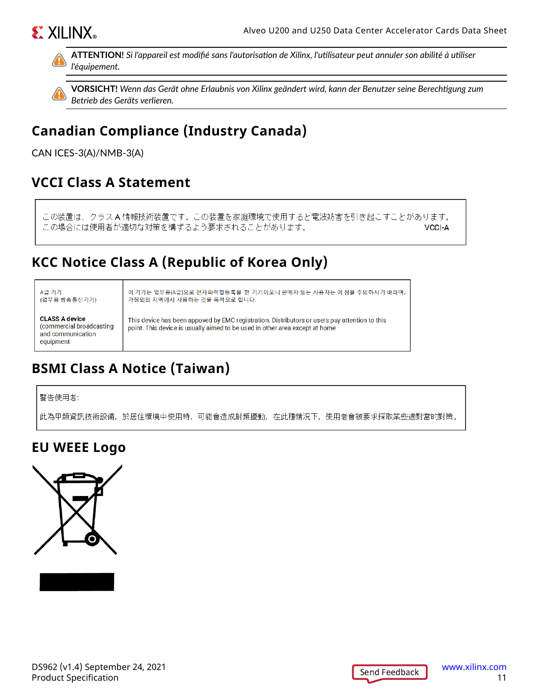# **EXILINX**®



**ATTENTION!** *Si l'appareil est modifié sans l'autorisation de Xilinx, l'utilisateur peut annuler son abilité à utiliser l'équipement.*



**VORSICHT!** *Wenn das Gerät ohne Erlaubnis von Xilinx geändert wird, kann der Benutzer seine Berechtigung zum Betrieb des Geräts verlieren.*

# **Canadian Compliance (Industry Canada)**

CAN ICES-3(A)/NMB-3(A)

## **VCCI Class A Statement**

この装置は、クラスA情報技術装置です。この装置を家庭環境で使用すると電波妨害を引き起こすことがあります。 この場合には使用者が適切な対策を構ずるよう要求されることがあります。 **VCCI-A** 

## **KCC Notice Class A (Republic of Korea Only)**

#### A급 기기 (업무용 방송통신기기)

이 기기는 업무용(A급)으로 전자파적합등록을 한 기기이오니 판매자 또는 사용자는 이 점을 주의하시기 바라며, 가정외의 지역에서 사용하는 것을 목적으로 합니다.

**CLASS A device** (commercial broadcasting and communication equipment

This device has been appoved by EMC registration. Distributors or users pay attention to this point. This device is usually aimed to be used in other area except at home

# **BSMI Class A Notice (Taiwan)**

警告使用者:

此為甲類資訊技術設備,於居住環境中使用時,可能會造成射頻擾動,在此種情況下,使用者會被要求採取某些適對當的對策。

## **EU WEEE Logo**



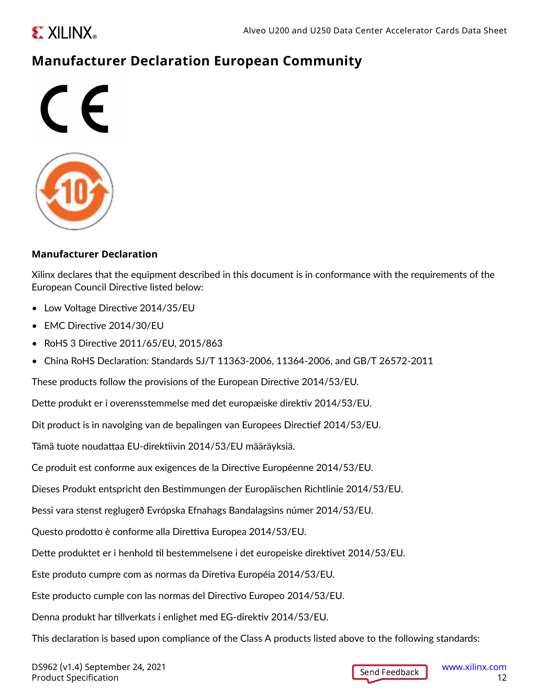<span id="page-11-0"></span>

## **Manufacturer Declaration European Community**



### **Manufacturer Declaration**

Xilinx declares that the equipment described in this document is in conformance with the requirements of the European Council Directive listed below:

- Low Voltage Directive 2014/35/EU
- EMC Directive 2014/30/EU
- RoHS 3 Directive 2011/65/EU, 2015/863
- China RoHS Declaration: Standards SJ/T 11363-2006, 11364-2006, and GB/T 26572-2011

These products follow the provisions of the European Directive 2014/53/EU.

Dette produkt er i overensstemmelse med det europæiske direktiv 2014/53/EU.

Dit product is in navolging van de bepalingen van Europees Directief 2014/53/EU.

Tämä tuote noudattaa EU-direktiivin 2014/53/EU määräyksiä.

Ce produit est conforme aux exigences de la Directive Européenne 2014/53/EU.

Dieses Produkt entspricht den Bestimmungen der Europäischen Richtlinie 2014/53/EU.

Þessi vara stenst reglugerð Evrópska Efnahags Bandalagsins númer 2014/53/EU.

Questo prodotto è conforme alla Direttiva Europea 2014/53/EU.

Dette produktet er i henhold til bestemmelsene i det europeiske direktivet 2014/53/EU.

Este produto cumpre com as normas da Diretiva Européia 2014/53/EU.

Este producto cumple con las normas del Directivo Europeo 2014/53/EU.

Denna produkt har tillverkats i enlighet med EG-direktiv 2014/53/EU.

This declaration is based upon compliance of the Class A products listed above to the following standards: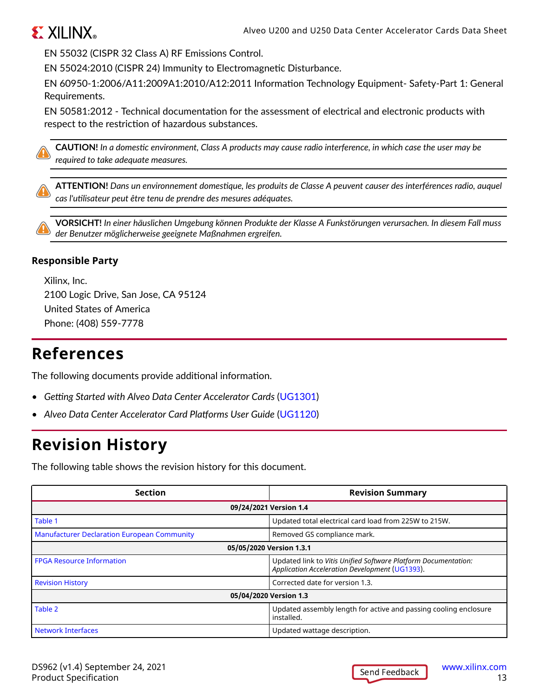

EN 55032 (CISPR 32 Class A) RF Emissions Control.

EN 55024:2010 (CISPR 24) Immunity to Electromagnetic Disturbance.

EN 60950-1:2006/A11:2009A1:2010/A12:2011 Information Technology Equipment- Safety-Part 1: General Requirements.

EN 50581:2012 - Technical documentation for the assessment of electrical and electronic products with respect to the restriction of hazardous substances.

**CAUTION!** *In a domestic environment, Class A products may cause radio interference, in which case the user may be required to take adequate measures.*

**ATTENTION!** *Dans un environnement domestique, les produits de Classe A peuvent causer des interférences radio, auquel cas l'utilisateur peut être tenu de prendre des mesures adéquates.*

**VORSICHT!** *In einer häuslichen Umgebung können Produkte der Klasse A Funkstörungen verursachen. In diesem Fall muss der Benutzer möglicherweise geeignete Maßnahmen ergreifen.*

#### **Responsible Party**

Xilinx, Inc. 2100 Logic Drive, San Jose, CA 95124 United States of America Phone: (408) 559-7778

# **References**

The following documents provide additional information.

- *Getting Started with Alveo Data Center Accelerator Cards* ([UG1301\)](https://www.xilinx.com/cgi-bin/docs/bkdoc?v=latest;k=accelerator-cards;d=ug1301-getting-started-guide-alveo-accelerator-cards.pdf)
- *Alveo Data Center Accelerator Card Platforms User Guide* ([UG1120\)](https://www.xilinx.com/cgi-bin/docs/bkdoc?k=accelerator-cards;d=ug1120-alveo-platforms.pdf)

# **Revision History**

The following table shows the revision history for this document.

| <b>Section</b>                                     | <b>Revision Summary</b>                                                                                          |  |
|----------------------------------------------------|------------------------------------------------------------------------------------------------------------------|--|
|                                                    | 09/24/2021 Version 1.4                                                                                           |  |
| Table 1                                            | Updated total electrical card load from 225W to 215W.                                                            |  |
| <b>Manufacturer Declaration European Community</b> | Removed GS compliance mark.                                                                                      |  |
| 05/05/2020 Version 1.3.1                           |                                                                                                                  |  |
| <b>FPGA Resource Information</b>                   | Updated link to Vitis Unified Software Platform Documentation:<br>Application Acceleration Development (UG1393). |  |
| <b>Revision History</b>                            | Corrected date for version 1.3.                                                                                  |  |
| 05/04/2020 Version 1.3                             |                                                                                                                  |  |
| Table 2                                            | Updated assembly length for active and passing cooling enclosure<br>installed.                                   |  |
| <b>Network Interfaces</b>                          | Updated wattage description.                                                                                     |  |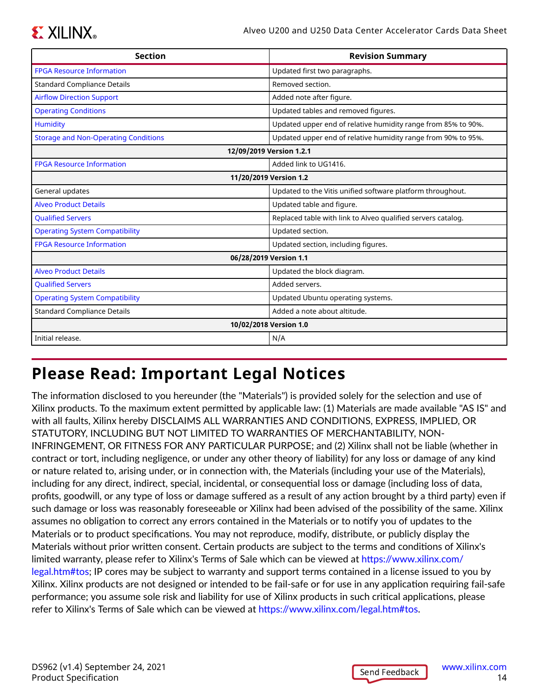# **EXALINX**

| <b>Section</b>                              | <b>Revision Summary</b>                                       |  |
|---------------------------------------------|---------------------------------------------------------------|--|
| <b>FPGA Resource Information</b>            | Updated first two paragraphs.                                 |  |
| <b>Standard Compliance Details</b>          | Removed section.                                              |  |
| <b>Airflow Direction Support</b>            | Added note after figure.                                      |  |
| <b>Operating Conditions</b>                 | Updated tables and removed figures.                           |  |
| <b>Humidity</b>                             | Updated upper end of relative humidity range from 85% to 90%. |  |
| <b>Storage and Non-Operating Conditions</b> | Updated upper end of relative humidity range from 90% to 95%. |  |
|                                             | 12/09/2019 Version 1.2.1                                      |  |
| <b>FPGA Resource Information</b>            | Added link to UG1416.                                         |  |
| 11/20/2019 Version 1.2                      |                                                               |  |
| General updates                             | Updated to the Vitis unified software platform throughout.    |  |
| <b>Alveo Product Details</b>                | Updated table and figure.                                     |  |
| <b>Qualified Servers</b>                    | Replaced table with link to Alveo qualified servers catalog.  |  |
| <b>Operating System Compatibility</b>       | Updated section.                                              |  |
| <b>FPGA Resource Information</b>            | Updated section, including figures.                           |  |
|                                             | 06/28/2019 Version 1.1                                        |  |
| <b>Alveo Product Details</b>                | Updated the block diagram.                                    |  |
| <b>Qualified Servers</b>                    | Added servers.                                                |  |
| <b>Operating System Compatibility</b>       | Updated Ubuntu operating systems.                             |  |
| <b>Standard Compliance Details</b>          | Added a note about altitude.                                  |  |
|                                             | 10/02/2018 Version 1.0                                        |  |
| Initial release.                            | N/A                                                           |  |

# **Please Read: Important Legal Notices**

The information disclosed to you hereunder (the "Materials") is provided solely for the selection and use of Xilinx products. To the maximum extent permitted by applicable law: (1) Materials are made available "AS IS" and with all faults, Xilinx hereby DISCLAIMS ALL WARRANTIES AND CONDITIONS, EXPRESS, IMPLIED, OR STATUTORY, INCLUDING BUT NOT LIMITED TO WARRANTIES OF MERCHANTABILITY, NON-INFRINGEMENT, OR FITNESS FOR ANY PARTICULAR PURPOSE; and (2) Xilinx shall not be liable (whether in contract or tort, including negligence, or under any other theory of liability) for any loss or damage of any kind or nature related to, arising under, or in connection with, the Materials (including your use of the Materials), including for any direct, indirect, special, incidental, or consequential loss or damage (including loss of data, profits, goodwill, or any type of loss or damage suffered as a result of any action brought by a third party) even if such damage or loss was reasonably foreseeable or Xilinx had been advised of the possibility of the same. Xilinx assumes no obligation to correct any errors contained in the Materials or to notify you of updates to the Materials or to product specifications. You may not reproduce, modify, distribute, or publicly display the Materials without prior written consent. Certain products are subject to the terms and conditions of Xilinx's limited warranty, please refer to Xilinx's Terms of Sale which can be viewed at [https://www.xilinx.com/](https://www.xilinx.com/legal.htm#tos) [legal.htm#tos](https://www.xilinx.com/legal.htm#tos); IP cores may be subject to warranty and support terms contained in a license issued to you by Xilinx. Xilinx products are not designed or intended to be fail-safe or for use in any application requiring fail-safe performance; you assume sole risk and liability for use of Xilinx products in such critical applications, please refer to Xilinx's Terms of Sale which can be viewed at [https://www.xilinx.com/legal.htm#tos.](https://www.xilinx.com/legal.htm#tos)